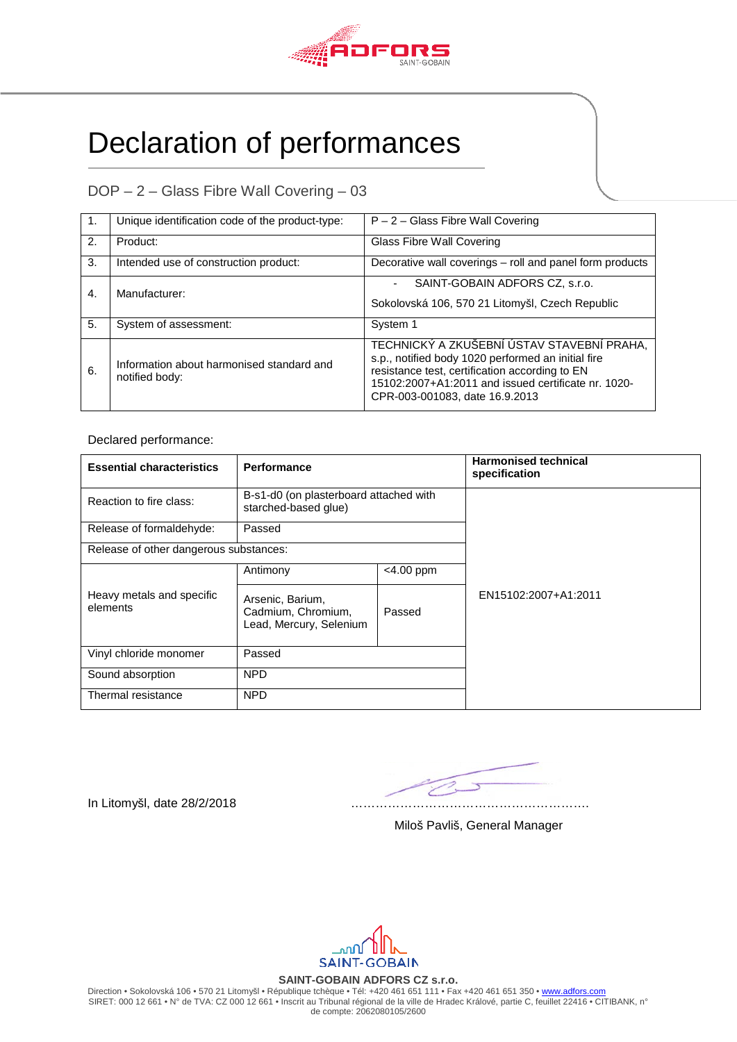

## Declaration of performances

DOP – 2 – Glass Fibre Wall Covering – 03

| -1. | Unique identification code of the product-type:             | $P - 2 -$ Glass Fibre Wall Covering                                                                                                                                                                                                         |
|-----|-------------------------------------------------------------|---------------------------------------------------------------------------------------------------------------------------------------------------------------------------------------------------------------------------------------------|
| 2.  | Product:                                                    | <b>Glass Fibre Wall Covering</b>                                                                                                                                                                                                            |
| 3.  | Intended use of construction product:                       | Decorative wall coverings - roll and panel form products                                                                                                                                                                                    |
| 4.  | Manufacturer:                                               | SAINT-GOBAIN ADFORS CZ. s.r.o.<br>Sokolovská 106, 570 21 Litomyšl, Czech Republic                                                                                                                                                           |
|     |                                                             |                                                                                                                                                                                                                                             |
| 5.  | System of assessment:                                       | System 1                                                                                                                                                                                                                                    |
| 6.  | Information about harmonised standard and<br>notified body: | TECHNICKÝ A ZKUŠEBNÍ ÚSTAV STAVEBNÍ PRAHA,<br>s.p., notified body 1020 performed an initial fire<br>resistance test, certification according to EN<br>15102:2007+A1:2011 and issued certificate nr. 1020-<br>CPR-003-001083, date 16.9.2013 |

Declared performance:

| <b>Essential characteristics</b>       | Performance                                                       |              | <b>Harmonised technical</b><br>specification |  |  |
|----------------------------------------|-------------------------------------------------------------------|--------------|----------------------------------------------|--|--|
| Reaction to fire class:                | B-s1-d0 (on plasterboard attached with<br>starched-based glue)    |              |                                              |  |  |
| Release of formaldehyde:               | Passed                                                            |              |                                              |  |  |
| Release of other dangerous substances: |                                                                   |              |                                              |  |  |
|                                        | Antimony                                                          | $<$ 4.00 ppm |                                              |  |  |
| Heavy metals and specific<br>elements  | Arsenic, Barium,<br>Cadmium, Chromium,<br>Lead, Mercury, Selenium | Passed       | EN15102:2007+A1:2011                         |  |  |
| Vinyl chloride monomer                 | Passed                                                            |              |                                              |  |  |
| Sound absorption                       | <b>NPD</b>                                                        |              |                                              |  |  |
| Thermal resistance                     | <b>NPD</b>                                                        |              |                                              |  |  |

In Litomyšl, date 28/2/2018 ………………………………………………….

Miloš Pavliš, General Manager

nnn. **SAINT-GOBAIN** 

**SAINT-GOBAIN ADFORS CZ s.r.o.**

Direction • Sokolovská 106 • 570 21 Litomyšl • République tchèque • Tél: +420 461 651 111 • Fax +420 461 651 350 • [www.adfors.com](http://www.adfors.com/) SIRET: 000 12 661 • N° de TVA: CZ 000 12 661 • Inscrit au Tribunal régional de la ville de Hradec Králové, partie C, feuillet 22416 • CITIBANK, n° de compte: 2062080105/2600